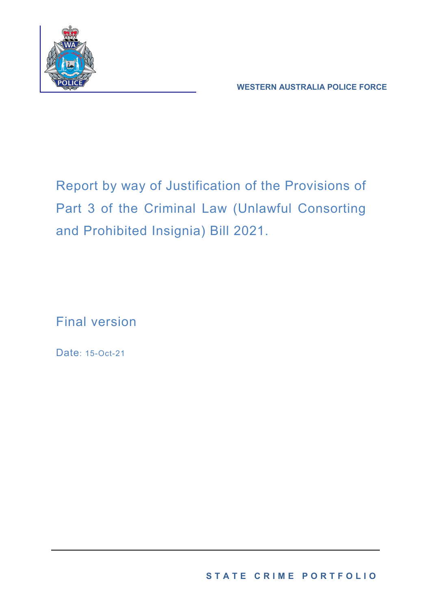

**WESTERN AUSTRALIA POLICE FORCE**

Report by way of Justification of the Provisions of Part 3 of the Criminal Law (Unlawful Consorting and Prohibited Insignia) Bill 2021.

Final version

Date: 15-Oct-21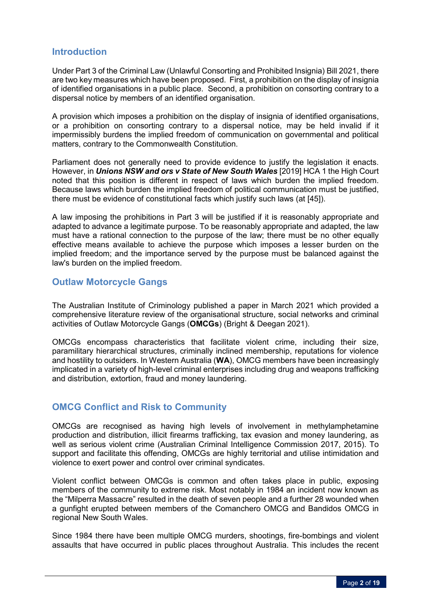# **Introduction**

Under Part 3 of the Criminal Law (Unlawful Consorting and Prohibited Insignia) Bill 2021, there are two key measures which have been proposed. First, a prohibition on the display of insignia of identified organisations in a public place. Second, a prohibition on consorting contrary to a dispersal notice by members of an identified organisation.

A provision which imposes a prohibition on the display of insignia of identified organisations, or a prohibition on consorting contrary to a dispersal notice, may be held invalid if it impermissibly burdens the implied freedom of communication on governmental and political matters, contrary to the Commonwealth Constitution.

Parliament does not generally need to provide evidence to justify the legislation it enacts. However, in *Unions NSW and ors v State of New South Wales* [2019] HCA 1 the High Court noted that this position is different in respect of laws which burden the implied freedom. Because laws which burden the implied freedom of political communication must be justified, there must be evidence of constitutional facts which justify such laws (at [45]).

A law imposing the prohibitions in Part 3 will be justified if it is reasonably appropriate and adapted to advance a legitimate purpose. To be reasonably appropriate and adapted, the law must have a rational connection to the purpose of the law; there must be no other equally effective means available to achieve the purpose which imposes a lesser burden on the implied freedom; and the importance served by the purpose must be balanced against the law's burden on the implied freedom.

# **Outlaw Motorcycle Gangs**

The Australian Institute of Criminology published a paper in March 2021 which provided a comprehensive literature review of the organisational structure, social networks and criminal activities of Outlaw Motorcycle Gangs (**OMCGs**) (Bright & Deegan 2021).

OMCGs encompass characteristics that facilitate violent crime, including their size, paramilitary hierarchical structures, criminally inclined membership, reputations for violence and hostility to outsiders. In Western Australia (**WA**), OMCG members have been increasingly implicated in a variety of high-level criminal enterprises including drug and weapons trafficking and distribution, extortion, fraud and money laundering.

# **OMCG Conflict and Risk to Community**

OMCGs are recognised as having high levels of involvement in methylamphetamine production and distribution, illicit firearms trafficking, tax evasion and money laundering, as well as serious violent crime (Australian Criminal Intelligence Commission 2017, 2015). To support and facilitate this offending, OMCGs are highly territorial and utilise intimidation and violence to exert power and control over criminal syndicates.

Violent conflict between OMCGs is common and often takes place in public, exposing members of the community to extreme risk. Most notably in 1984 an incident now known as the "Milperra Massacre" resulted in the death of seven people and a further 28 wounded when a gunfight erupted between members of the Comanchero OMCG and Bandidos OMCG in regional New South Wales.

Since 1984 there have been multiple OMCG murders, shootings, fire-bombings and violent assaults that have occurred in public places throughout Australia. This includes the recent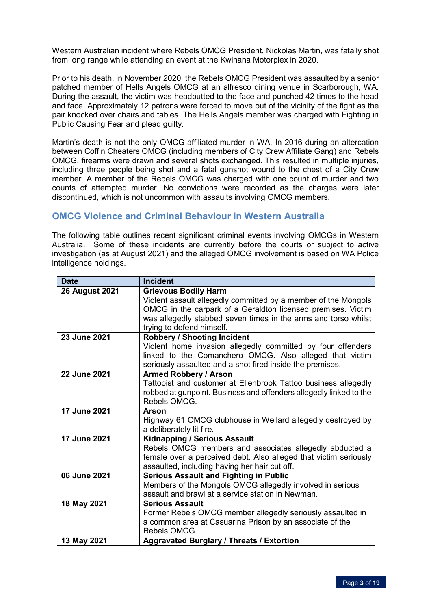Western Australian incident where Rebels OMCG President, Nickolas Martin, was fatally shot from long range while attending an event at the Kwinana Motorplex in 2020.

Prior to his death, in November 2020, the Rebels OMCG President was assaulted by a senior patched member of Hells Angels OMCG at an alfresco dining venue in Scarborough, WA. During the assault, the victim was headbutted to the face and punched 42 times to the head and face. Approximately 12 patrons were forced to move out of the vicinity of the fight as the pair knocked over chairs and tables. The Hells Angels member was charged with Fighting in Public Causing Fear and plead guilty.

Martin's death is not the only OMCG-affiliated murder in WA. In 2016 during an altercation between Coffin Cheaters OMCG (including members of City Crew Affiliate Gang) and Rebels OMCG, firearms were drawn and several shots exchanged. This resulted in multiple injuries, including three people being shot and a fatal gunshot wound to the chest of a City Crew member. A member of the Rebels OMCG was charged with one count of murder and two counts of attempted murder. No convictions were recorded as the charges were later discontinued, which is not uncommon with assaults involving OMCG members.

# **OMCG Violence and Criminal Behaviour in Western Australia**

The following table outlines recent significant criminal events involving OMCGs in Western Australia. Some of these incidents are currently before the courts or subject to active investigation (as at August 2021) and the alleged OMCG involvement is based on WA Police intelligence holdings.

| <b>Date</b>           | <b>Incident</b>                                                                         |
|-----------------------|-----------------------------------------------------------------------------------------|
| <b>26 August 2021</b> | <b>Grievous Bodily Harm</b>                                                             |
|                       | Violent assault allegedly committed by a member of the Mongols                          |
|                       | OMCG in the carpark of a Geraldton licensed premises. Victim                            |
|                       | was allegedly stabbed seven times in the arms and torso whilst                          |
|                       | trying to defend himself.                                                               |
| 23 June 2021          | <b>Robbery / Shooting Incident</b>                                                      |
|                       | Violent home invasion allegedly committed by four offenders                             |
|                       | linked to the Comanchero OMCG. Also alleged that victim                                 |
|                       | seriously assaulted and a shot fired inside the premises.                               |
| 22 June 2021          | <b>Armed Robbery / Arson</b>                                                            |
|                       | Tattooist and customer at Ellenbrook Tattoo business allegedly                          |
|                       | robbed at gunpoint. Business and offenders allegedly linked to the                      |
|                       | Rebels OMCG.                                                                            |
| <b>17 June 2021</b>   | <b>Arson</b>                                                                            |
|                       | Highway 61 OMCG clubhouse in Wellard allegedly destroyed by<br>a deliberately lit fire. |
| 17 June 2021          | <b>Kidnapping / Serious Assault</b>                                                     |
|                       | Rebels OMCG members and associates allegedly abducted a                                 |
|                       | female over a perceived debt. Also alleged that victim seriously                        |
|                       | assaulted, including having her hair cut off.                                           |
| 06 June 2021          | <b>Serious Assault and Fighting in Public</b>                                           |
|                       | Members of the Mongols OMCG allegedly involved in serious                               |
|                       | assault and brawl at a service station in Newman.                                       |
| 18 May 2021           | <b>Serious Assault</b>                                                                  |
|                       | Former Rebels OMCG member allegedly seriously assaulted in                              |
|                       | a common area at Casuarina Prison by an associate of the                                |
|                       | Rebels OMCG.                                                                            |
| 13 May 2021           | <b>Aggravated Burglary / Threats / Extortion</b>                                        |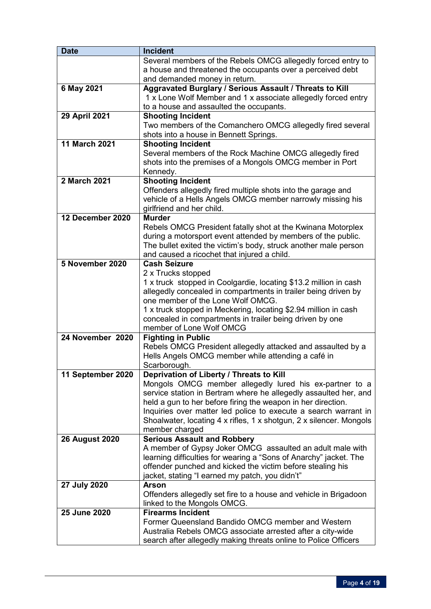| <b>Date</b>           | <b>Incident</b>                                                                                     |
|-----------------------|-----------------------------------------------------------------------------------------------------|
|                       | Several members of the Rebels OMCG allegedly forced entry to                                        |
|                       | a house and threatened the occupants over a perceived debt                                          |
|                       | and demanded money in return.                                                                       |
| 6 May 2021            | Aggravated Burglary / Serious Assault / Threats to Kill                                             |
|                       | 1 x Lone Wolf Member and 1 x associate allegedly forced entry                                       |
|                       | to a house and assaulted the occupants.                                                             |
| 29 April 2021         | <b>Shooting Incident</b>                                                                            |
|                       | Two members of the Comanchero OMCG allegedly fired several                                          |
|                       | shots into a house in Bennett Springs.                                                              |
| <b>11 March 2021</b>  | <b>Shooting Incident</b>                                                                            |
|                       | Several members of the Rock Machine OMCG allegedly fired                                            |
|                       | shots into the premises of a Mongols OMCG member in Port                                            |
|                       | Kennedy.                                                                                            |
| 2 March 2021          | <b>Shooting Incident</b>                                                                            |
|                       | Offenders allegedly fired multiple shots into the garage and                                        |
|                       | vehicle of a Hells Angels OMCG member narrowly missing his                                          |
|                       | girlfriend and her child.                                                                           |
| 12 December 2020      | <b>Murder</b>                                                                                       |
|                       | Rebels OMCG President fatally shot at the Kwinana Motorplex                                         |
|                       | during a motorsport event attended by members of the public.                                        |
|                       | The bullet exited the victim's body, struck another male person                                     |
| 5 November 2020       | and caused a ricochet that injured a child.                                                         |
|                       | <b>Cash Seizure</b>                                                                                 |
|                       | 2 x Trucks stopped                                                                                  |
|                       | 1 x truck stopped in Coolgardie, locating \$13.2 million in cash                                    |
|                       | allegedly concealed in compartments in trailer being driven by<br>one member of the Lone Wolf OMCG. |
|                       | 1 x truck stopped in Meckering, locating \$2.94 million in cash                                     |
|                       | concealed in compartments in trailer being driven by one                                            |
|                       | member of Lone Wolf OMCG                                                                            |
| 24 November 2020      | <b>Fighting in Public</b>                                                                           |
|                       | Rebels OMCG President allegedly attacked and assaulted by a                                         |
|                       | Hells Angels OMCG member while attending a café in                                                  |
|                       | Scarborough.                                                                                        |
| 11 September 2020     | Deprivation of Liberty / Threats to Kill                                                            |
|                       | Mongols OMCG member allegedly lured his ex-partner to a                                             |
|                       | service station in Bertram where he allegedly assaulted her, and                                    |
|                       | held a gun to her before firing the weapon in her direction.                                        |
|                       | Inquiries over matter led police to execute a search warrant in                                     |
|                       | Shoalwater, locating 4 x rifles, 1 x shotgun, 2 x silencer. Mongols                                 |
|                       | member charged                                                                                      |
| <b>26 August 2020</b> | <b>Serious Assault and Robbery</b>                                                                  |
|                       | A member of Gypsy Joker OMCG assaulted an adult male with                                           |
|                       | learning difficulties for wearing a "Sons of Anarchy" jacket. The                                   |
|                       | offender punched and kicked the victim before stealing his                                          |
|                       | jacket, stating "I earned my patch, you didn't"                                                     |
| 27 July 2020          | <b>Arson</b>                                                                                        |
|                       | Offenders allegedly set fire to a house and vehicle in Brigadoon                                    |
|                       | linked to the Mongols OMCG.                                                                         |
| 25 June 2020          | <b>Firearms Incident</b>                                                                            |
|                       | Former Queensland Bandido OMCG member and Western                                                   |
|                       | Australia Rebels OMCG associate arrested after a city-wide                                          |
|                       | search after allegedly making threats online to Police Officers                                     |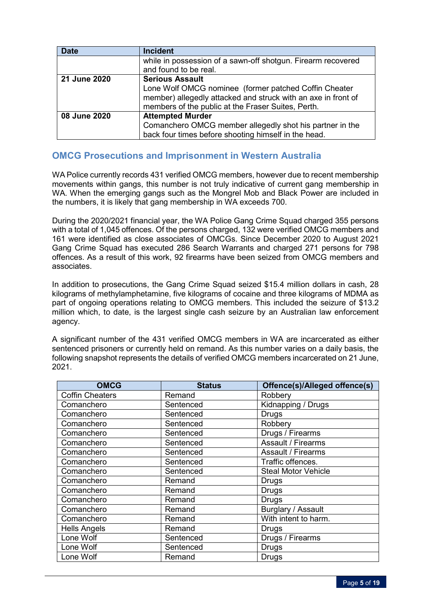| <b>Date</b>  | <b>Incident</b>                                               |  |  |  |
|--------------|---------------------------------------------------------------|--|--|--|
|              | while in possession of a sawn-off shotgun. Firearm recovered  |  |  |  |
|              | and found to be real.                                         |  |  |  |
| 21 June 2020 | <b>Serious Assault</b>                                        |  |  |  |
|              | Lone Wolf OMCG nominee (former patched Coffin Cheater         |  |  |  |
|              | member) allegedly attacked and struck with an axe in front of |  |  |  |
|              | members of the public at the Fraser Suites, Perth.            |  |  |  |
| 08 June 2020 | <b>Attempted Murder</b>                                       |  |  |  |
|              | Comanchero OMCG member allegedly shot his partner in the      |  |  |  |
|              | back four times before shooting himself in the head.          |  |  |  |

# **OMCG Prosecutions and Imprisonment in Western Australia**

WA Police currently records 431 verified OMCG members, however due to recent membership movements within gangs, this number is not truly indicative of current gang membership in WA. When the emerging gangs such as the Mongrel Mob and Black Power are included in the numbers, it is likely that gang membership in WA exceeds 700.

During the 2020/2021 financial year, the WA Police Gang Crime Squad charged 355 persons with a total of 1,045 offences. Of the persons charged, 132 were verified OMCG members and 161 were identified as close associates of OMCGs. Since December 2020 to August 2021 Gang Crime Squad has executed 286 Search Warrants and charged 271 persons for 798 offences. As a result of this work, 92 firearms have been seized from OMCG members and associates.

In addition to prosecutions, the Gang Crime Squad seized \$15.4 million dollars in cash, 28 kilograms of methylamphetamine, five kilograms of cocaine and three kilograms of MDMA as part of ongoing operations relating to OMCG members. This included the seizure of \$13.2 million which, to date, is the largest single cash seizure by an Australian law enforcement agency.

A significant number of the 431 verified OMCG members in WA are incarcerated as either sentenced prisoners or currently held on remand. As this number varies on a daily basis, the following snapshot represents the details of verified OMCG members incarcerated on 21 June, 2021.

| <b>OMCG</b>            | <b>Status</b> | Offence(s)/Alleged offence(s) |
|------------------------|---------------|-------------------------------|
| <b>Coffin Cheaters</b> | Remand        | Robbery                       |
| Comanchero             | Sentenced     | Kidnapping / Drugs            |
| Comanchero             | Sentenced     | <b>Drugs</b>                  |
| Comanchero             | Sentenced     | Robbery                       |
| Comanchero             | Sentenced     | Drugs / Firearms              |
| Comanchero             | Sentenced     | Assault / Firearms            |
| Comanchero             | Sentenced     | <b>Assault / Firearms</b>     |
| Comanchero             | Sentenced     | Traffic offences.             |
| Comanchero             | Sentenced     | <b>Steal Motor Vehicle</b>    |
| Comanchero             | Remand        | Drugs                         |
| Comanchero             | Remand        | <b>Drugs</b>                  |
| Comanchero             | Remand        | <b>Drugs</b>                  |
| Comanchero             | Remand        | Burglary / Assault            |
| Comanchero             | Remand        | With intent to harm.          |
| <b>Hells Angels</b>    | Remand        | <b>Drugs</b>                  |
| Lone Wolf              | Sentenced     | Drugs / Firearms              |
| Lone Wolf              | Sentenced     | <b>Drugs</b>                  |
| Lone Wolf              | Remand        | <b>Drugs</b>                  |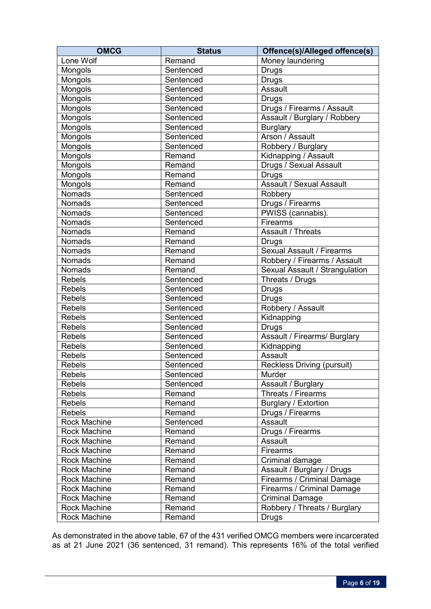| <b>OMCG</b>         | <b>Status</b> | Offence(s)/Alleged offence(s)    |  |
|---------------------|---------------|----------------------------------|--|
| Lone Wolf           | Remand        | Money laundering                 |  |
| Mongols             | Sentenced     | <b>Drugs</b>                     |  |
| Mongols             | Sentenced     | <b>Drugs</b>                     |  |
| Mongols             | Sentenced     | Assault                          |  |
| Mongols             | Sentenced     | <b>Drugs</b>                     |  |
| Mongols             | Sentenced     | Drugs / Firearms / Assault       |  |
| Mongols             | Sentenced     | Assault / Burglary / Robbery     |  |
| Mongols             | Sentenced     | <b>Burglary</b>                  |  |
| Mongols             | Sentenced     | Arson / Assault                  |  |
| Mongols             | Sentenced     | Robbery / Burglary               |  |
| Mongols             | Remand        | Kidnapping / Assault             |  |
| Mongols             | Remand        | Drugs / Sexual Assault           |  |
| Mongols             | Remand        | <b>Drugs</b>                     |  |
| Mongols             | Remand        | Assault / Sexual Assault         |  |
| <b>Nomads</b>       | Sentenced     | Robbery                          |  |
| <b>Nomads</b>       | Sentenced     | Drugs / Firearms                 |  |
| <b>Nomads</b>       | Sentenced     | PWISS (cannabis).                |  |
| <b>Nomads</b>       | Sentenced     | Firearms                         |  |
| <b>Nomads</b>       | Remand        | Assault / Threats                |  |
| <b>Nomads</b>       | Remand        | Drugs                            |  |
| <b>Nomads</b>       | Remand        | <b>Sexual Assault / Firearms</b> |  |
| <b>Nomads</b>       | Remand        | Robbery / Firearms / Assault     |  |
| Nomads              | Remand        | Sexual Assault / Strangulation   |  |
| <b>Rebels</b>       | Sentenced     | Threats / Drugs                  |  |
| <b>Rebels</b>       | Sentenced     | Drugs                            |  |
| <b>Rebels</b>       | Sentenced     | <b>Drugs</b>                     |  |
| <b>Rebels</b>       | Sentenced     | Robbery / Assault                |  |
| <b>Rebels</b>       | Sentenced     | Kidnapping                       |  |
| <b>Rebels</b>       | Sentenced     | <b>Drugs</b>                     |  |
| <b>Rebels</b>       | Sentenced     | Assault / Firearms/ Burglary     |  |
| <b>Rebels</b>       | Sentenced     | Kidnapping                       |  |
| <b>Rebels</b>       | Sentenced     | Assault                          |  |
| <b>Rebels</b>       | Sentenced     | Reckless Driving (pursuit)       |  |
| <b>Rebels</b>       | Sentenced     | Murder                           |  |
| <b>Rebels</b>       | Sentenced     | Assault / Burglary               |  |
| <b>Rebels</b>       | Remand        | Threats / Firearms               |  |
| <b>Rebels</b>       | Remand        | <b>Burglary / Extortion</b>      |  |
| <b>Rebels</b>       | Remand        | Drugs / Firearms                 |  |
| Rock Machine        | Sentenced     | Assault                          |  |
| <b>Rock Machine</b> | Remand        | Drugs / Firearms                 |  |
| <b>Rock Machine</b> | Remand        | Assault                          |  |
| <b>Rock Machine</b> | Remand        | Firearms                         |  |
| <b>Rock Machine</b> | Remand        | Criminal damage                  |  |
| <b>Rock Machine</b> | Remand        | Assault / Burglary / Drugs       |  |
| <b>Rock Machine</b> | Remand        | Firearms / Criminal Damage       |  |
| <b>Rock Machine</b> | Remand        | Firearms / Criminal Damage       |  |
| <b>Rock Machine</b> | Remand        | <b>Criminal Damage</b>           |  |
| <b>Rock Machine</b> | Remand        | Robbery / Threats / Burglary     |  |
| Rock Machine        | Remand        | Drugs                            |  |

As demonstrated in the above table, 67 of the 431 verified OMCG members were incarcerated as at 21 June 2021 (36 sentenced, 31 remand). This represents 16% of the total verified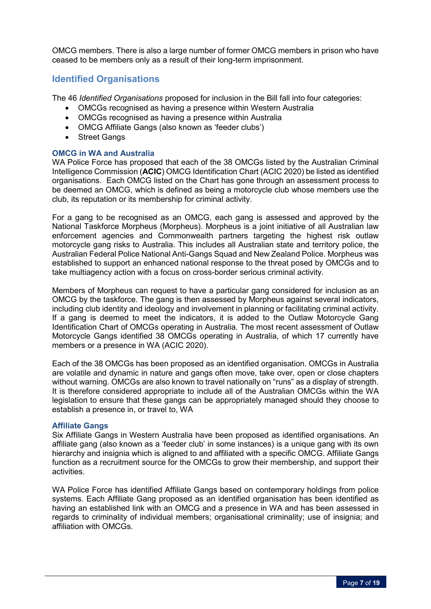OMCG members. There is also a large number of former OMCG members in prison who have ceased to be members only as a result of their long-term imprisonment.

## **Identified Organisations**

The 46 *Identified Organisations* proposed for inclusion in the Bill fall into four categories:

- OMCGs recognised as having a presence within Western Australia
- OMCGs recognised as having a presence within Australia
- OMCG Affiliate Gangs (also known as 'feeder clubs')
- Street Gangs

## **OMCG in WA and Australia**

WA Police Force has proposed that each of the 38 OMCGs listed by the Australian Criminal Intelligence Commission (**ACIC**) OMCG Identification Chart (ACIC 2020) be listed as identified organisations.Each OMCG listed on the Chart has gone through an assessment process to be deemed an OMCG, which is defined as being a motorcycle club whose members use the club, its reputation or its membership for criminal activity.

For a gang to be recognised as an OMCG, each gang is assessed and approved by the National Taskforce Morpheus (Morpheus). Morpheus is a joint initiative of all Australian law enforcement agencies and Commonwealth partners targeting the highest risk outlaw motorcycle gang risks to Australia. This includes all Australian state and territory police, the Australian Federal Police National Anti-Gangs Squad and New Zealand Police. Morpheus was established to support an enhanced national response to the threat posed by OMCGs and to take multiagency action with a focus on cross-border serious criminal activity.

Members of Morpheus can request to have a particular gang considered for inclusion as an OMCG by the taskforce. The gang is then assessed by Morpheus against several indicators, including club identity and ideology and involvement in planning or facilitating criminal activity. If a gang is deemed to meet the indicators, it is added to the Outlaw Motorcycle Gang Identification Chart of OMCGs operating in Australia. The most recent assessment of Outlaw Motorcycle Gangs identified 38 OMCGs operating in Australia, of which 17 currently have members or a presence in WA (ACIC 2020).

Each of the 38 OMCGs has been proposed as an identified organisation. OMCGs in Australia are volatile and dynamic in nature and gangs often move, take over, open or close chapters without warning. OMCGs are also known to travel nationally on "runs" as a display of strength. It is therefore considered appropriate to include all of the Australian OMCGs within the WA legislation to ensure that these gangs can be appropriately managed should they choose to establish a presence in, or travel to, WA

## **Affiliate Gangs**

Six Affiliate Gangs in Western Australia have been proposed as identified organisations. An affiliate gang (also known as a 'feeder club' in some instances) is a unique gang with its own hierarchy and insignia which is aligned to and affiliated with a specific OMCG. Affiliate Gangs function as a recruitment source for the OMCGs to grow their membership, and support their activities.

WA Police Force has identified Affiliate Gangs based on contemporary holdings from police systems. Each Affiliate Gang proposed as an identified organisation has been identified as having an established link with an OMCG and a presence in WA and has been assessed in regards to criminality of individual members; organisational criminality; use of insignia; and affiliation with OMCGs.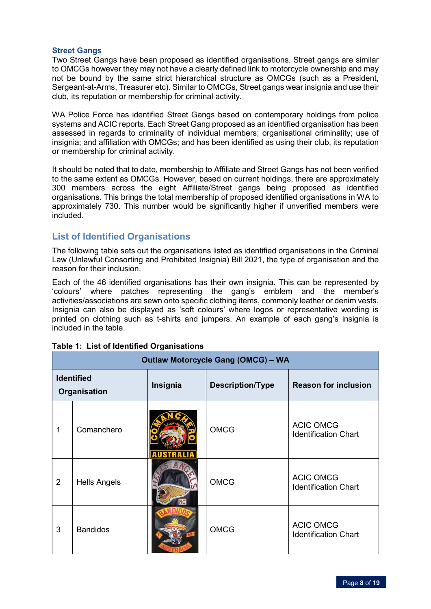## **Street Gangs**

Two Street Gangs have been proposed as identified organisations. Street gangs are similar to OMCGs however they may not have a clearly defined link to motorcycle ownership and may not be bound by the same strict hierarchical structure as OMCGs (such as a President, Sergeant-at-Arms, Treasurer etc). Similar to OMCGs, Street gangs wear insignia and use their club, its reputation or membership for criminal activity.

WA Police Force has identified Street Gangs based on contemporary holdings from police systems and ACIC reports. Each Street Gang proposed as an identified organisation has been assessed in regards to criminality of individual members; organisational criminality; use of insignia; and affiliation with OMCGs; and has been identified as using their club, its reputation or membership for criminal activity.

It should be noted that to date, membership to Affiliate and Street Gangs has not been verified to the same extent as OMCGs. However, based on current holdings, there are approximately 300 members across the eight Affiliate/Street gangs being proposed as identified organisations. This brings the total membership of proposed identified organisations in WA to approximately 730. This number would be significantly higher if unverified members were included.

# **List of Identified Organisations**

The following table sets out the organisations listed as identified organisations in the Criminal Law (Unlawful Consorting and Prohibited Insignia) Bill 2021, the type of organisation and the reason for their inclusion.

Each of the 46 identified organisations has their own insignia. This can be represented by 'colours' where patches representing the gang's emblem and the member's activities/associations are sewn onto specific clothing items, commonly leather or denim vests. Insignia can also be displayed as 'soft colours' where logos or representative wording is printed on clothing such as t-shirts and jumpers. An example of each gang's insignia is included in the table.

|                                   | <b>Outlaw Motorcycle Gang (OMCG) - WA</b> |           |                         |                                                 |  |
|-----------------------------------|-------------------------------------------|-----------|-------------------------|-------------------------------------------------|--|
| <b>Identified</b><br>Organisation |                                           | Insignia  | <b>Description/Type</b> | <b>Reason for inclusion</b>                     |  |
| 1                                 | Comanchero                                |           | <b>OMCG</b>             | <b>ACIC OMCG</b><br><b>Identification Chart</b> |  |
| $\overline{2}$                    | <b>Hells Angels</b>                       | <b>MC</b> | <b>OMCG</b>             | <b>ACIC OMCG</b><br><b>Identification Chart</b> |  |
| 3                                 | <b>Bandidos</b>                           |           | <b>OMCG</b>             | <b>ACIC OMCG</b><br><b>Identification Chart</b> |  |

## **Table 1: List of Identified Organisations**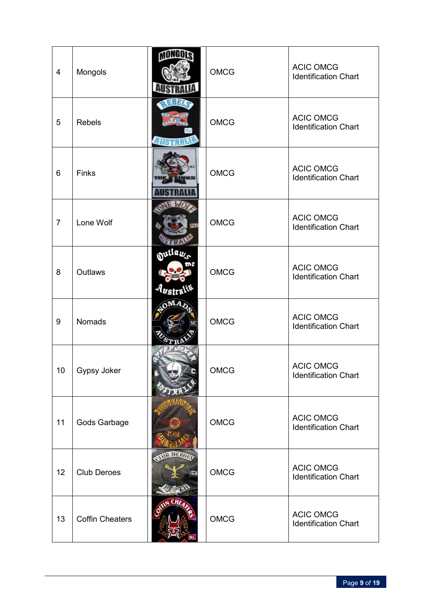| $\overline{4}$ | Mongols                | MONGOLS              | <b>OMCG</b> | <b>ACIC OMCG</b><br><b>Identification Chart</b> |
|----------------|------------------------|----------------------|-------------|-------------------------------------------------|
| 5              | <b>Rebels</b>          |                      | <b>OMCG</b> | <b>ACIC OMCG</b><br><b>Identification Chart</b> |
| 6              | Finks                  |                      | <b>OMCG</b> | <b>ACIC OMCG</b><br><b>Identification Chart</b> |
| $\overline{7}$ | Lone Wolf              |                      | <b>OMCG</b> | <b>ACIC OMCG</b><br><b>Identification Chart</b> |
| 8              | Outlaws                | outlan.<br>Australit | <b>OMCG</b> | <b>ACIC OMCG</b><br><b>Identification Chart</b> |
| 9              | Nomads                 |                      | <b>OMCG</b> | <b>ACIC OMCG</b><br><b>Identification Chart</b> |
| 10             | Gypsy Joker            |                      | <b>OMCG</b> | <b>ACIC OMCG</b><br><b>Identification Chart</b> |
| 11             | Gods Garbage           |                      | <b>OMCG</b> | <b>ACIC OMCG</b><br><b>Identification Chart</b> |
| 12             | <b>Club Deroes</b>     | QAIR DEFOIS          | <b>OMCG</b> | <b>ACIC OMCG</b><br><b>Identification Chart</b> |
| 13             | <b>Coffin Cheaters</b> | <b>EIN CHEA</b>      | OMCG        | <b>ACIC OMCG</b><br><b>Identification Chart</b> |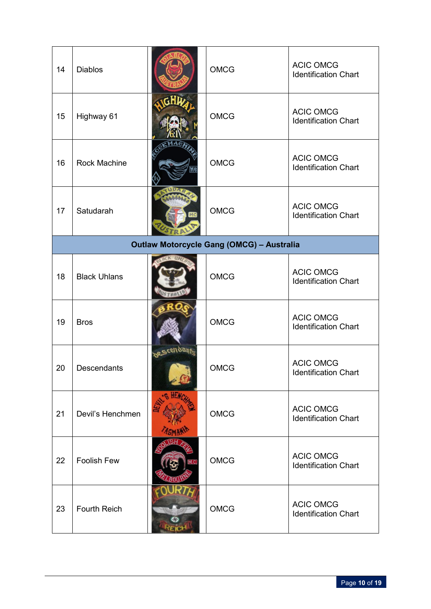| 14 | <b>Diablos</b>      |                    | <b>OMCG</b>                                      | <b>ACIC OMCG</b><br><b>Identification Chart</b> |
|----|---------------------|--------------------|--------------------------------------------------|-------------------------------------------------|
| 15 | Highway 61          |                    | <b>OMCG</b>                                      | <b>ACIC OMCG</b><br><b>Identification Chart</b> |
| 16 | <b>Rock Machine</b> |                    | <b>OMCG</b>                                      | <b>ACIC OMCG</b><br><b>Identification Chart</b> |
| 17 | Satudarah           |                    | <b>OMCG</b>                                      | <b>ACIC OMCG</b><br><b>Identification Chart</b> |
|    |                     |                    | <b>Outlaw Motorcycle Gang (OMCG) - Australia</b> |                                                 |
| 18 | <b>Black Uhlans</b> |                    | <b>OMCG</b>                                      | <b>ACIC OMCG</b><br><b>Identification Chart</b> |
| 19 | <b>Bros</b>         |                    | <b>OMCG</b>                                      | <b>ACIC OMCG</b><br><b>Identification Chart</b> |
| 20 | Descendants         | <b>og Scenbant</b> | <b>OMCG</b>                                      | <b>ACIC OMCG</b><br><b>Identification Chart</b> |
| 21 | Devil's Henchmen    |                    | <b>OMCG</b>                                      | <b>ACIC OMCG</b><br><b>Identification Chart</b> |
| 22 | <b>Foolish Few</b>  |                    | <b>OMCG</b>                                      | <b>ACIC OMCG</b><br><b>Identification Chart</b> |
| 23 | <b>Fourth Reich</b> |                    | <b>OMCG</b>                                      | <b>ACIC OMCG</b><br><b>Identification Chart</b> |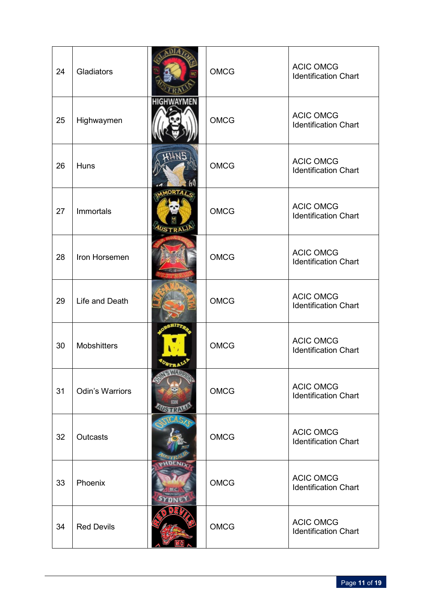| 24 | Gladiators             |                                | <b>OMCG</b> | <b>ACIC OMCG</b><br><b>Identification Chart</b> |
|----|------------------------|--------------------------------|-------------|-------------------------------------------------|
| 25 | Highwaymen             | <b>HIGHWAYMEN</b>              | <b>OMCG</b> | <b>ACIC OMCG</b><br><b>Identification Chart</b> |
| 26 | Huns                   |                                | <b>OMCG</b> | <b>ACIC OMCG</b><br><b>Identification Chart</b> |
| 27 | Immortals              | <b>MMORT</b><br><b>AUSTRAL</b> | <b>OMCG</b> | <b>ACIC OMCG</b><br><b>Identification Chart</b> |
| 28 | Iron Horsemen          |                                | <b>OMCG</b> | <b>ACIC OMCG</b><br><b>Identification Chart</b> |
| 29 | Life and Death         |                                | <b>OMCG</b> | <b>ACIC OMCG</b><br><b>Identification Chart</b> |
| 30 | <b>Mobshitters</b>     |                                | <b>OMCG</b> | <b>ACIC OMCG</b><br><b>Identification Chart</b> |
| 31 | <b>Odin's Warriors</b> |                                | <b>OMCG</b> | <b>ACIC OMCG</b><br><b>Identification Chart</b> |
| 32 | Outcasts               |                                | <b>OMCG</b> | <b>ACIC OMCG</b><br><b>Identification Chart</b> |
| 33 | Phoenix                |                                | <b>OMCG</b> | <b>ACIC OMCG</b><br><b>Identification Chart</b> |
| 34 | <b>Red Devils</b>      |                                | <b>OMCG</b> | <b>ACIC OMCG</b><br><b>Identification Chart</b> |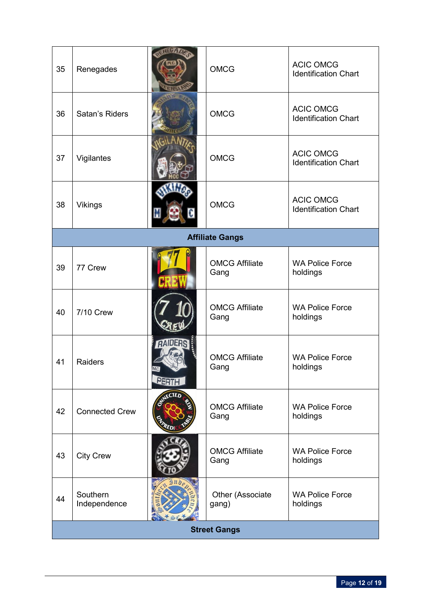| 35 | Renegades                |       | <b>OMCG</b>                   | <b>ACIC OMCG</b><br><b>Identification Chart</b> |  |
|----|--------------------------|-------|-------------------------------|-------------------------------------------------|--|
| 36 | Satan's Riders           |       | <b>OMCG</b>                   | <b>ACIC OMCG</b><br><b>Identification Chart</b> |  |
| 37 | Vigilantes               |       | <b>OMCG</b>                   | <b>ACIC OMCG</b><br><b>Identification Chart</b> |  |
| 38 | Vikings                  |       | <b>OMCG</b>                   | <b>ACIC OMCG</b><br><b>Identification Chart</b> |  |
|    |                          |       | <b>Affiliate Gangs</b>        |                                                 |  |
| 39 | 77 Crew                  |       | <b>OMCG Affiliate</b><br>Gang | <b>WA Police Force</b><br>holdings              |  |
| 40 | <b>7/10 Crew</b>         |       | <b>OMCG Affiliate</b><br>Gang | <b>WA Police Force</b><br>holdings              |  |
| 41 | <b>Raiders</b>           | PERTH | <b>OMCG Affiliate</b><br>Gang | <b>WA Police Force</b><br>holdings              |  |
| 42 | <b>Connected Crew</b>    |       | <b>OMCG Affiliate</b><br>Gang | <b>WA Police Force</b><br>holdings              |  |
| 43 | <b>City Crew</b>         |       | <b>OMCG Affiliate</b><br>Gang | <b>WA Police Force</b><br>holdings              |  |
| 44 | Southern<br>Independence |       | Other (Associate<br>gang)     | <b>WA Police Force</b><br>holdings              |  |
|    | <b>Street Gangs</b>      |       |                               |                                                 |  |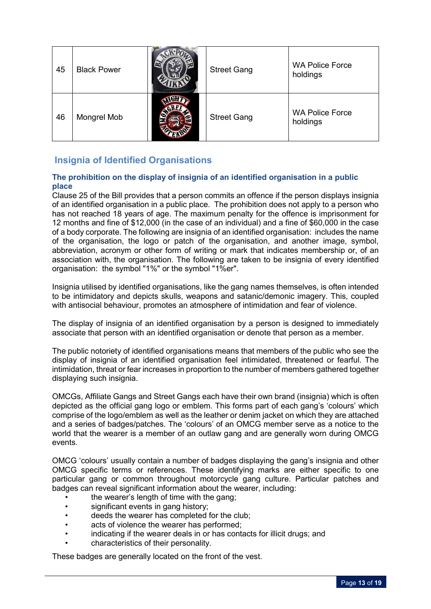| 45 | <b>Black Power</b> | <b>Street Gang</b> | <b>WA Police Force</b><br>holdings |
|----|--------------------|--------------------|------------------------------------|
| 46 | Mongrel Mob        | <b>Street Gang</b> | <b>WA Police Force</b><br>holdings |

# **Insignia of Identified Organisations**

## **The prohibition on the display of insignia of an identified organisation in a public place**

Clause 25 of the Bill provides that a person commits an offence if the person displays insignia of an identified organisation in a public place. The prohibition does not apply to a person who has not reached 18 years of age. The maximum penalty for the offence is imprisonment for 12 months and fine of \$12,000 (in the case of an individual) and a fine of \$60,000 in the case of a body corporate. The following are insignia of an identified organisation: includes the name of the organisation, the logo or patch of the organisation, and another image, symbol, abbreviation, acronym or other form of writing or mark that indicates membership or, of an association with, the organisation. The following are taken to be insignia of every identified organisation: the symbol "1%" or the symbol "1%er".

Insignia utilised by identified organisations, like the gang names themselves, is often intended to be intimidatory and depicts skulls, weapons and satanic/demonic imagery. This, coupled with antisocial behaviour, promotes an atmosphere of intimidation and fear of violence.

The display of insignia of an identified organisation by a person is designed to immediately associate that person with an identified organisation or denote that person as a member.

The public notoriety of identified organisations means that members of the public who see the display of insignia of an identified organisation feel intimidated, threatened or fearful. The intimidation, threat or fear increases in proportion to the number of members gathered together displaying such insignia.

OMCGs, Affiliate Gangs and Street Gangs each have their own brand (insignia) which is often depicted as the official gang logo or emblem. This forms part of each gang's 'colours' which comprise of the logo/emblem as well as the leather or denim jacket on which they are attached and a series of badges/patches. The 'colours' of an OMCG member serve as a notice to the world that the wearer is a member of an outlaw gang and are generally worn during OMCG events.

OMCG 'colours' usually contain a number of badges displaying the gang's insignia and other OMCG specific terms or references. These identifying marks are either specific to one particular gang or common throughout motorcycle gang culture. Particular patches and badges can reveal significant information about the wearer, including:

- the wearer's length of time with the gang:
- significant events in gang history;
- deeds the wearer has completed for the club;
- acts of violence the wearer has performed;
- indicating if the wearer deals in or has contacts for illicit drugs; and
- characteristics of their personality.

These badges are generally located on the front of the vest.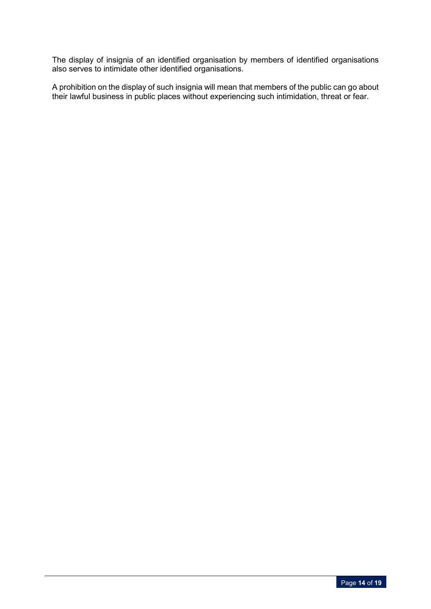The display of insignia of an identified organisation by members of identified organisations also serves to intimidate other identified organisations.

A prohibition on the display of such insignia will mean that members of the public can go about their lawful business in public places without experiencing such intimidation, threat or fear.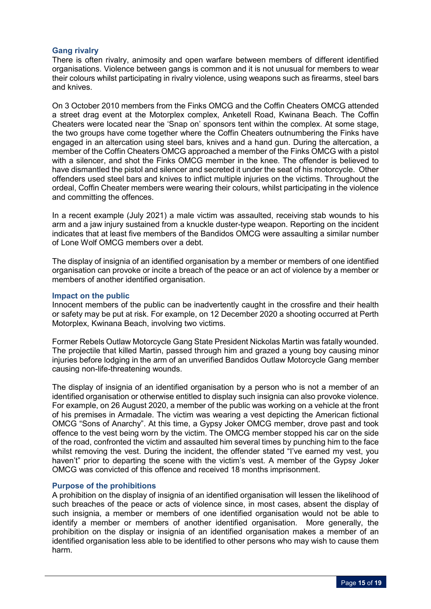## **Gang rivalry**

There is often rivalry, animosity and open warfare between members of different identified organisations. Violence between gangs is common and it is not unusual for members to wear their colours whilst participating in rivalry violence, using weapons such as firearms, steel bars and knives.

On 3 October 2010 members from the Finks OMCG and the Coffin Cheaters OMCG attended a street drag event at the Motorplex complex, Anketell Road, Kwinana Beach. The Coffin Cheaters were located near the 'Snap on' sponsors tent within the complex. At some stage, the two groups have come together where the Coffin Cheaters outnumbering the Finks have engaged in an altercation using steel bars, knives and a hand gun. During the altercation, a member of the Coffin Cheaters OMCG approached a member of the Finks OMCG with a pistol with a silencer, and shot the Finks OMCG member in the knee. The offender is believed to have dismantled the pistol and silencer and secreted it under the seat of his motorcycle. Other offenders used steel bars and knives to inflict multiple injuries on the victims. Throughout the ordeal, Coffin Cheater members were wearing their colours, whilst participating in the violence and committing the offences.

In a recent example (July 2021) a male victim was assaulted, receiving stab wounds to his arm and a jaw injury sustained from a knuckle duster-type weapon. Reporting on the incident indicates that at least five members of the Bandidos OMCG were assaulting a similar number of Lone Wolf OMCG members over a debt.

The display of insignia of an identified organisation by a member or members of one identified organisation can provoke or incite a breach of the peace or an act of violence by a member or members of another identified organisation.

#### **Impact on the public**

Innocent members of the public can be inadvertently caught in the crossfire and their health or safety may be put at risk. For example, on 12 December 2020 a shooting occurred at Perth Motorplex, Kwinana Beach, involving two victims.

Former Rebels Outlaw Motorcycle Gang State President Nickolas Martin was fatally wounded. The projectile that killed Martin, passed through him and grazed a young boy causing minor injuries before lodging in the arm of an unverified Bandidos Outlaw Motorcycle Gang member causing non-life-threatening wounds.

The display of insignia of an identified organisation by a person who is not a member of an identified organisation or otherwise entitled to display such insignia can also provoke violence. For example, on 26 August 2020, a member of the public was working on a vehicle at the front of his premises in Armadale. The victim was wearing a vest depicting the American fictional OMCG "Sons of Anarchy". At this time, a Gypsy Joker OMCG member, drove past and took offence to the vest being worn by the victim. The OMCG member stopped his car on the side of the road, confronted the victim and assaulted him several times by punching him to the face whilst removing the vest. During the incident, the offender stated "I've earned my vest, you haven't" prior to departing the scene with the victim's vest. A member of the Gypsy Joker OMCG was convicted of this offence and received 18 months imprisonment.

## **Purpose of the prohibitions**

A prohibition on the display of insignia of an identified organisation will lessen the likelihood of such breaches of the peace or acts of violence since, in most cases, absent the display of such insignia, a member or members of one identified organisation would not be able to identify a member or members of another identified organisation. More generally, the prohibition on the display or insignia of an identified organisation makes a member of an identified organisation less able to be identified to other persons who may wish to cause them harm.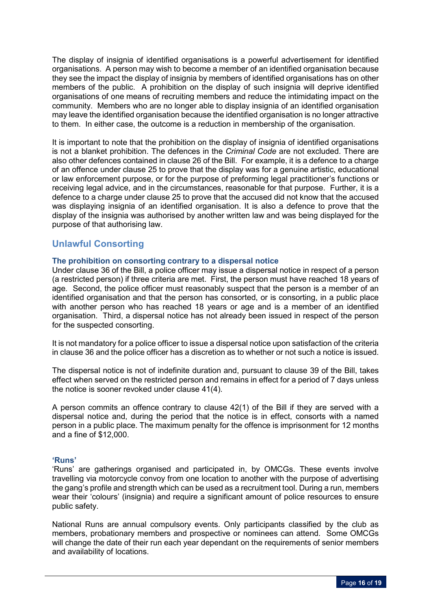The display of insignia of identified organisations is a powerful advertisement for identified organisations. A person may wish to become a member of an identified organisation because they see the impact the display of insignia by members of identified organisations has on other members of the public. A prohibition on the display of such insignia will deprive identified organisations of one means of recruiting members and reduce the intimidating impact on the community. Members who are no longer able to display insignia of an identified organisation may leave the identified organisation because the identified organisation is no longer attractive to them. In either case, the outcome is a reduction in membership of the organisation.

It is important to note that the prohibition on the display of insignia of identified organisations is not a blanket prohibition. The defences in the *Criminal Code* are not excluded. There are also other defences contained in clause 26 of the Bill. For example, it is a defence to a charge of an offence under clause 25 to prove that the display was for a genuine artistic, educational or law enforcement purpose, or for the purpose of preforming legal practitioner's functions or receiving legal advice, and in the circumstances, reasonable for that purpose. Further, it is a defence to a charge under clause 25 to prove that the accused did not know that the accused was displaying insignia of an identified organisation. It is also a defence to prove that the display of the insignia was authorised by another written law and was being displayed for the purpose of that authorising law.

# **Unlawful Consorting**

## **The prohibition on consorting contrary to a dispersal notice**

Under clause 36 of the Bill, a police officer may issue a dispersal notice in respect of a person (a restricted person) if three criteria are met. First, the person must have reached 18 years of age. Second, the police officer must reasonably suspect that the person is a member of an identified organisation and that the person has consorted, or is consorting, in a public place with another person who has reached 18 years or age and is a member of an identified organisation. Third, a dispersal notice has not already been issued in respect of the person for the suspected consorting.

It is not mandatory for a police officer to issue a dispersal notice upon satisfaction of the criteria in clause 36 and the police officer has a discretion as to whether or not such a notice is issued.

The dispersal notice is not of indefinite duration and, pursuant to clause 39 of the Bill, takes effect when served on the restricted person and remains in effect for a period of 7 days unless the notice is sooner revoked under clause 41(4).

A person commits an offence contrary to clause 42(1) of the Bill if they are served with a dispersal notice and, during the period that the notice is in effect, consorts with a named person in a public place. The maximum penalty for the offence is imprisonment for 12 months and a fine of \$12,000.

## **'Runs'**

'Runs' are gatherings organised and participated in, by OMCGs. These events involve travelling via motorcycle convoy from one location to another with the purpose of advertising the gang's profile and strength which can be used as a recruitment tool. During a run, members wear their 'colours' (insignia) and require a significant amount of police resources to ensure public safety.

National Runs are annual compulsory events. Only participants classified by the club as members, probationary members and prospective or nominees can attend. Some OMCGs will change the date of their run each year dependant on the requirements of senior members and availability of locations.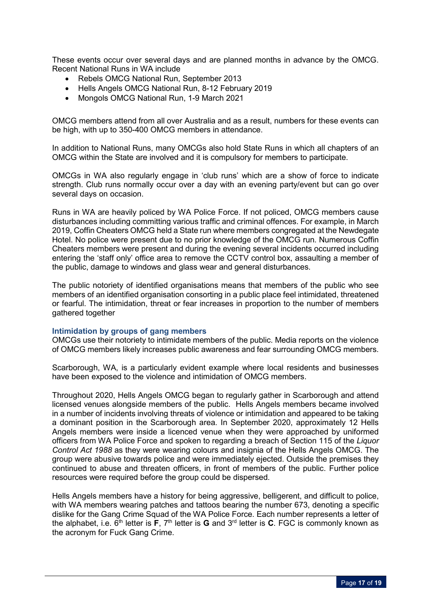These events occur over several days and are planned months in advance by the OMCG. Recent National Runs in WA include

- Rebels OMCG National Run, September 2013
- Hells Angels OMCG National Run, 8-12 February 2019
- Mongols OMCG National Run, 1-9 March 2021

OMCG members attend from all over Australia and as a result, numbers for these events can be high, with up to 350-400 OMCG members in attendance.

In addition to National Runs, many OMCGs also hold State Runs in which all chapters of an OMCG within the State are involved and it is compulsory for members to participate.

OMCGs in WA also regularly engage in 'club runs' which are a show of force to indicate strength. Club runs normally occur over a day with an evening party/event but can go over several days on occasion.

Runs in WA are heavily policed by WA Police Force. If not policed, OMCG members cause disturbances including committing various traffic and criminal offences. For example, in March 2019, Coffin Cheaters OMCG held a State run where members congregated at the Newdegate Hotel. No police were present due to no prior knowledge of the OMCG run. Numerous Coffin Cheaters members were present and during the evening several incidents occurred including entering the 'staff only' office area to remove the CCTV control box, assaulting a member of the public, damage to windows and glass wear and general disturbances.

The public notoriety of identified organisations means that members of the public who see members of an identified organisation consorting in a public place feel intimidated, threatened or fearful. The intimidation, threat or fear increases in proportion to the number of members gathered together

## **Intimidation by groups of gang members**

OMCGs use their notoriety to intimidate members of the public. Media reports on the violence of OMCG members likely increases public awareness and fear surrounding OMCG members.

Scarborough, WA, is a particularly evident example where local residents and businesses have been exposed to the violence and intimidation of OMCG members.

Throughout 2020, Hells Angels OMCG began to regularly gather in Scarborough and attend licensed venues alongside members of the public. Hells Angels members became involved in a number of incidents involving threats of violence or intimidation and appeared to be taking a dominant position in the Scarborough area. In September 2020, approximately 12 Hells Angels members were inside a licenced venue when they were approached by uniformed officers from WA Police Force and spoken to regarding a breach of Section 115 of the *Liquor Control Act 1988* as they were wearing colours and insignia of the Hells Angels OMCG. The group were abusive towards police and were immediately ejected. Outside the premises they continued to abuse and threaten officers, in front of members of the public. Further police resources were required before the group could be dispersed.

Hells Angels members have a history for being aggressive, belligerent, and difficult to police, with WA members wearing patches and tattoos bearing the number 673, denoting a specific dislike for the Gang Crime Squad of the WA Police Force. Each number represents a letter of the alphabet, i.e.  $6^{th}$  letter is **F**,  $7^{th}$  letter is **G** and  $3^{rd}$  letter is **C**. FGC is commonly known as the acronym for Fuck Gang Crime.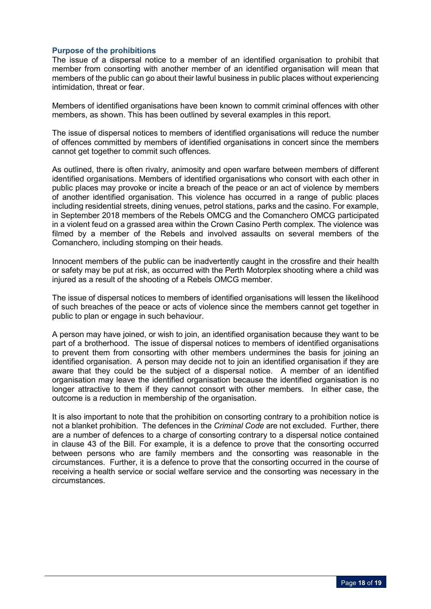## **Purpose of the prohibitions**

The issue of a dispersal notice to a member of an identified organisation to prohibit that member from consorting with another member of an identified organisation will mean that members of the public can go about their lawful business in public places without experiencing intimidation, threat or fear.

Members of identified organisations have been known to commit criminal offences with other members, as shown. This has been outlined by several examples in this report.

The issue of dispersal notices to members of identified organisations will reduce the number of offences committed by members of identified organisations in concert since the members cannot get together to commit such offences.

As outlined, there is often rivalry, animosity and open warfare between members of different identified organisations. Members of identified organisations who consort with each other in public places may provoke or incite a breach of the peace or an act of violence by members of another identified organisation. This violence has occurred in a range of public places including residential streets, dining venues, petrol stations, parks and the casino. For example, in September 2018 members of the Rebels OMCG and the Comanchero OMCG participated in a violent feud on a grassed area within the Crown Casino Perth complex. The violence was filmed by a member of the Rebels and involved assaults on several members of the Comanchero, including stomping on their heads.

Innocent members of the public can be inadvertently caught in the crossfire and their health or safety may be put at risk, as occurred with the Perth Motorplex shooting where a child was injured as a result of the shooting of a Rebels OMCG member.

The issue of dispersal notices to members of identified organisations will lessen the likelihood of such breaches of the peace or acts of violence since the members cannot get together in public to plan or engage in such behaviour.

A person may have joined, or wish to join, an identified organisation because they want to be part of a brotherhood. The issue of dispersal notices to members of identified organisations to prevent them from consorting with other members undermines the basis for joining an identified organisation. A person may decide not to join an identified organisation if they are aware that they could be the subject of a dispersal notice. A member of an identified organisation may leave the identified organisation because the identified organisation is no longer attractive to them if they cannot consort with other members. In either case, the outcome is a reduction in membership of the organisation.

It is also important to note that the prohibition on consorting contrary to a prohibition notice is not a blanket prohibition. The defences in the *Criminal Code* are not excluded. Further, there are a number of defences to a charge of consorting contrary to a dispersal notice contained in clause 43 of the Bill. For example, it is a defence to prove that the consorting occurred between persons who are family members and the consorting was reasonable in the circumstances. Further, it is a defence to prove that the consorting occurred in the course of receiving a health service or social welfare service and the consorting was necessary in the circumstances.